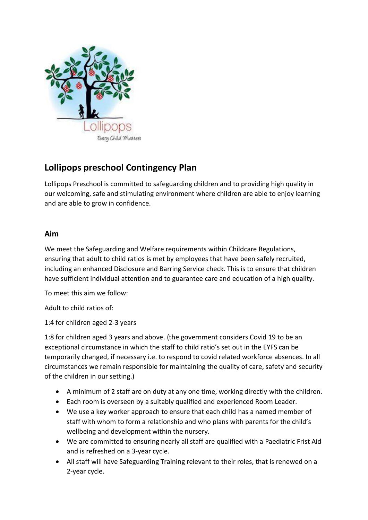

## **Lollipops preschool Contingency Plan**

Lollipops Preschool is committed to safeguarding children and to providing high quality in our welcoming, safe and stimulating environment where children are able to enjoy learning and are able to grow in confidence.

## **Aim**

We meet the Safeguarding and Welfare requirements within Childcare Regulations, ensuring that adult to child ratios is met by employees that have been safely recruited, including an enhanced Disclosure and Barring Service check. This is to ensure that children have sufficient individual attention and to guarantee care and education of a high quality.

To meet this aim we follow:

Adult to child ratios of:

1:4 for children aged 2-3 years

1:8 for children aged 3 years and above. (the government considers Covid 19 to be an exceptional circumstance in which the staff to child ratio's set out in the EYFS can be temporarily changed, if necessary i.e. to respond to covid related workforce absences. In all circumstances we remain responsible for maintaining the quality of care, safety and security of the children in our setting.)

- A minimum of 2 staff are on duty at any one time, working directly with the children.
- Each room is overseen by a suitably qualified and experienced Room Leader.
- We use a key worker approach to ensure that each child has a named member of staff with whom to form a relationship and who plans with parents for the child's wellbeing and development within the nursery.
- We are committed to ensuring nearly all staff are qualified with a Paediatric Frist Aid and is refreshed on a 3-year cycle.
- All staff will have Safeguarding Training relevant to their roles, that is renewed on a 2-year cycle.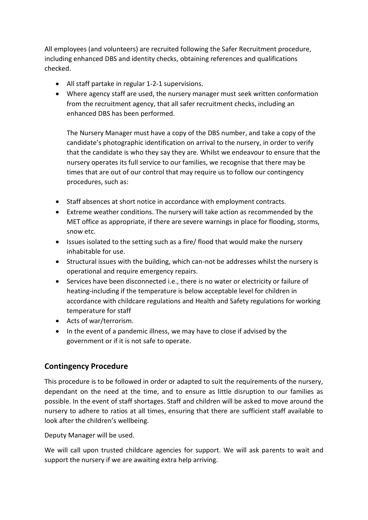All employees (and volunteers) are recruited following the Safer Recruitment procedure, including enhanced DBS and identity checks, obtaining references and qualifications checked.

- All staff partake in regular 1-2-1 supervisions.
- Where agency staff are used, the nursery manager must seek written conformation from the recruitment agency, that all safer recruitment checks, including an enhanced DBS has been performed.

The Nursery Manager must have a copy of the DBS number, and take a copy of the candidate's photographic identification on arrival to the nursery, in order to verify that the candidate is who they say they are. Whilst we endeavour to ensure that the nursery operates its full service to our families, we recognise that there may be times that are out of our control that may require us to follow our contingency procedures, such as:

- Staff absences at short notice in accordance with employment contracts.
- Extreme weather conditions. The nursery will take action as recommended by the MET office as appropriate, if there are severe warnings in place for flooding, storms, snow etc.
- Issues isolated to the setting such as a fire/ flood that would make the nursery inhabitable for use.
- Structural issues with the building, which can-not be addresses whilst the nursery is operational and require emergency repairs.
- Services have been disconnected i.e., there is no water or electricity or failure of heating-including if the temperature is below acceptable level for children in accordance with childcare regulations and Health and Safety regulations for working temperature for staff
- Acts of war/terrorism.
- In the event of a pandemic illness, we may have to close if advised by the government or if it is not safe to operate.

## **Contingency Procedure**

This procedure is to be followed in order or adapted to suit the requirements of the nursery, dependant on the need at the time, and to ensure as little disruption to our families as possible. In the event of staff shortages. Staff and children will be asked to move around the nursery to adhere to ratios at all times, ensuring that there are sufficient staff available to look after the children's wellbeing.

Deputy Manager will be used.

We will call upon trusted childcare agencies for support. We will ask parents to wait and support the nursery if we are awaiting extra help arriving.